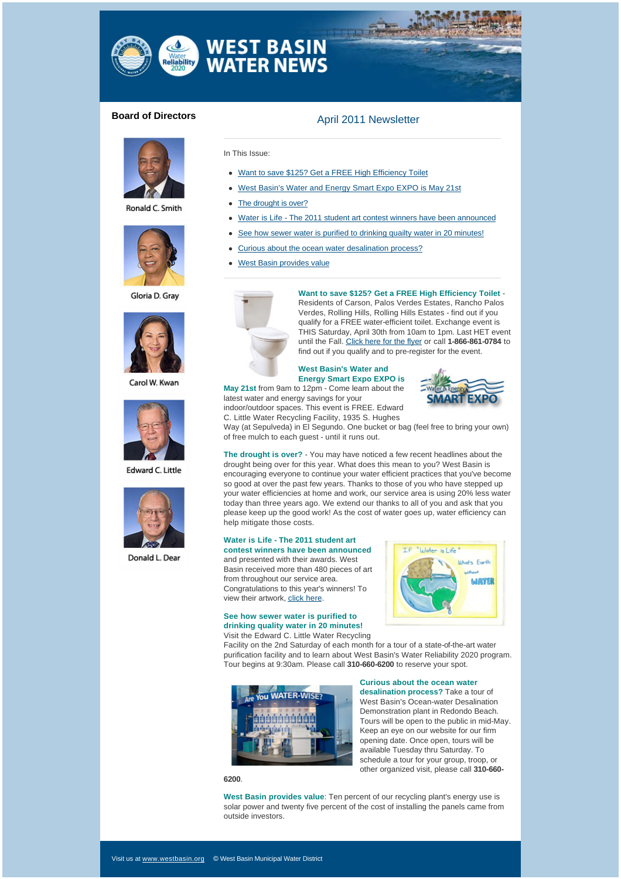

# **Board of Directors April 2011 Newsletter**



Ronald C. Smith



Gloria D. Grav



Carol W. Kwan



**Edward C. Little** 



Donald L. Dear

# In This Issue: • Want to save \$125? Get a FREE High Efficiency Toilet

- West Basin's Water and Energy Smart Expo EXPO is May 21st
- The drought is over?
- Water is Life The 2011 student art contest winners have been announced
- See how sewer water is purified to drinking quailty water in 20 minutes!
- Curious about the ocean water desalination process?
- West Basin provides value



**Want to save \$125? Get a FREE High Efficiency Toilet** - Residents of Carson, Palos Verdes Estates, Rancho Palos Verdes, Rolling Hills, Rolling Hills Estates - find out if you qualify for a FREE water-efficient toilet. Exchange event is THIS Saturday, April 30th from 10am to 1pm. Last HET event until the Fall. [Click here for the flyer](http://westbasinmunicipalwaterdistrict.createsend1.com/t/r/l/jjhhutk/l/r/) or call **1-866-861-0784** to find out if you qualify and to pre-register for the event.

### **West Basin's Water and Energy Smart Expo EXPO is**

**May 21st** from 9am to 12pm - Come learn about the latest water and energy savings for your indoor/outdoor spaces. This event is FREE. Edward



C. Little Water Recycling Facility, 1935 S. Hughes Way (at Sepulveda) in El Segundo. One bucket or bag (feel free to bring your own) of free mulch to each guest - until it runs out.

**The drought is over?** - You may have noticed a few recent headlines about the drought being over for this year. What does this mean to you? West Basin is encouraging everyone to continue your water efficient practices that you've become so good at over the past few years. Thanks to those of you who have stepped up your water efficiencies at home and work, our service area is using 20% less water today than three years ago. We extend our thanks to all of you and ask that you please keep up the good work! As the cost of water goes up, water efficiency can help mitigate those costs.

#### **Water is Life - The 2011 student art contest winners have been announced**

and presented with their awards. West Basin received more than 480 pieces of art from throughout our service area. Congratulations to this year's winners! To view their artwork, [click here](http://westbasinmunicipalwaterdistrict.createsend1.com/t/r/l/jjhhutk/l/y/).

## **See how sewer water is purified to drinking quality water in 20 minutes!**

Visit the Edward C. Little Water Recycling



Facility on the 2nd Saturday of each month for a tour of a state-of-the-art water purification facility and to learn about West Basin's Water Reliability 2020 program. Tour begins at 9:30am. Please call **310-660-6200** to reserve your spot.



#### **6200**.

## **Curious about the ocean water**

**desalination process?** Take a tour of West Basin's Ocean-water Desalination Demonstration plant in Redondo Beach. Tours will be open to the public in mid-May. Keep an eye on our website for our firm opening date. Once open, tours will be available Tuesday thru Saturday. To schedule a tour for your group, troop, or other organized visit, please call **310-660-**

**West Basin provides value**: Ten percent of our recycling plant's energy use is solar power and twenty five percent of the cost of installing the panels came from outside investors.